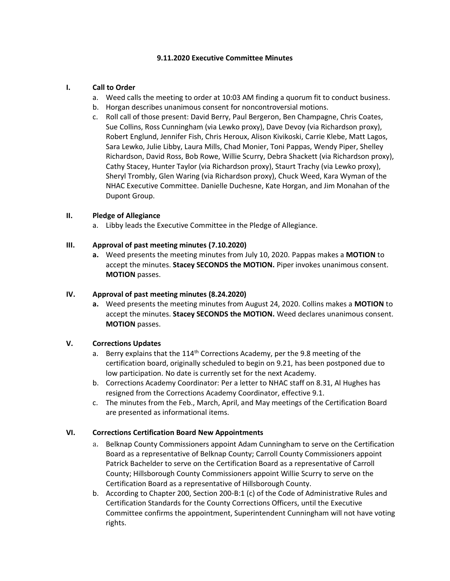### **9.11.2020 Executive Committee Minutes**

### **I. Call to Order**

- a. Weed calls the meeting to order at 10:03 AM finding a quorum fit to conduct business.
- b. Horgan describes unanimous consent for noncontroversial motions.
- c. Roll call of those present: David Berry, Paul Bergeron, Ben Champagne, Chris Coates, Sue Collins, Ross Cunningham (via Lewko proxy), Dave Devoy (via Richardson proxy), Robert Englund, Jennifer Fish, Chris Heroux, Alison Kivikoski, Carrie Klebe, Matt Lagos, Sara Lewko, Julie Libby, Laura Mills, Chad Monier, Toni Pappas, Wendy Piper, Shelley Richardson, David Ross, Bob Rowe, Willie Scurry, Debra Shackett (via Richardson proxy), Cathy Stacey, Hunter Taylor (via Richardson proxy), Staurt Trachy (via Lewko proxy), Sheryl Trombly, Glen Waring (via Richardson proxy), Chuck Weed, Kara Wyman of the NHAC Executive Committee. Danielle Duchesne, Kate Horgan, and Jim Monahan of the Dupont Group.

### **II. Pledge of Allegiance**

a. Libby leads the Executive Committee in the Pledge of Allegiance.

### **III. Approval of past meeting minutes (7.10.2020)**

**a.** Weed presents the meeting minutes from July 10, 2020. Pappas makes a **MOTION** to accept the minutes. **Stacey SECONDS the MOTION.** Piper invokes unanimous consent. **MOTION** passes.

### **IV. Approval of past meeting minutes (8.24.2020)**

**a.** Weed presents the meeting minutes from August 24, 2020. Collins makes a **MOTION** to accept the minutes. **Stacey SECONDS the MOTION.** Weed declares unanimous consent. **MOTION** passes.

## **V. Corrections Updates**

- a. Berry explains that the  $114<sup>th</sup>$  Corrections Academy, per the 9.8 meeting of the certification board, originally scheduled to begin on 9.21, has been postponed due to low participation. No date is currently set for the next Academy.
- b. Corrections Academy Coordinator: Per a letter to NHAC staff on 8.31, Al Hughes has resigned from the Corrections Academy Coordinator, effective 9.1.
- c. The minutes from the Feb., March, April, and May meetings of the Certification Board are presented as informational items.

### **VI. Corrections Certification Board New Appointments**

- a. Belknap County Commissioners appoint Adam Cunningham to serve on the Certification Board as a representative of Belknap County; Carroll County Commissioners appoint Patrick Bachelder to serve on the Certification Board as a representative of Carroll County; Hillsborough County Commissioners appoint Willie Scurry to serve on the Certification Board as a representative of Hillsborough County.
- b. According to Chapter 200, Section 200-B:1 (c) of the Code of Administrative Rules and Certification Standards for the County Corrections Officers, until the Executive Committee confirms the appointment, Superintendent Cunningham will not have voting rights.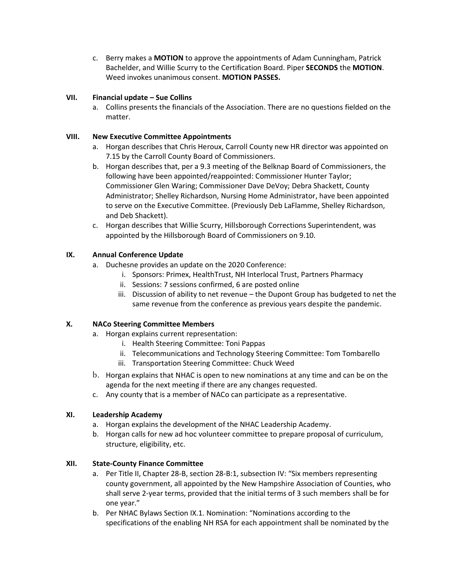c. Berry makes a **MOTION** to approve the appointments of Adam Cunningham, Patrick Bachelder, and Willie Scurry to the Certification Board. Piper **SECONDS** the **MOTION**. Weed invokes unanimous consent. **MOTION PASSES.**

# **VII. Financial update – Sue Collins**

a. Collins presents the financials of the Association. There are no questions fielded on the matter.

# **VIII. New Executive Committee Appointments**

- a. Horgan describes that Chris Heroux, Carroll County new HR director was appointed on 7.15 by the Carroll County Board of Commissioners.
- b. Horgan describes that, per a 9.3 meeting of the Belknap Board of Commissioners, the following have been appointed/reappointed: Commissioner Hunter Taylor; Commissioner Glen Waring; Commissioner Dave DeVoy; Debra Shackett, County Administrator; Shelley Richardson, Nursing Home Administrator, have been appointed to serve on the Executive Committee. (Previously Deb LaFlamme, Shelley Richardson, and Deb Shackett).
- c. Horgan describes that Willie Scurry, Hillsborough Corrections Superintendent, was appointed by the Hillsborough Board of Commissioners on 9.10.

# **IX. Annual Conference Update**

- a. Duchesne provides an update on the 2020 Conference:
	- i. Sponsors: Primex, HealthTrust, NH Interlocal Trust, Partners Pharmacy
	- ii. Sessions: 7 sessions confirmed, 6 are posted online
	- iii. Discussion of ability to net revenue the Dupont Group has budgeted to net the same revenue from the conference as previous years despite the pandemic.

# **X. NACo Steering Committee Members**

- a. Horgan explains current representation:
	- i. Health Steering Committee: Toni Pappas
	- ii. Telecommunications and Technology Steering Committee: Tom Tombarello
	- iii. Transportation Steering Committee: Chuck Weed
- b. Horgan explains that NHAC is open to new nominations at any time and can be on the agenda for the next meeting if there are any changes requested.
- c. Any county that is a member of NACo can participate as a representative.

### **XI. Leadership Academy**

- a. Horgan explains the development of the NHAC Leadership Academy.
- b. Horgan calls for new ad hoc volunteer committee to prepare proposal of curriculum, structure, eligibility, etc.

### **XII. State-County Finance Committee**

- a. Per Title II, Chapter 28-B, section 28-B:1, subsection IV: "Six members representing county government, all appointed by the New Hampshire Association of Counties, who shall serve 2-year terms, provided that the initial terms of 3 such members shall be for one year."
- b. Per NHAC Bylaws Section IX.1. Nomination: "Nominations according to the specifications of the enabling NH RSA for each appointment shall be nominated by the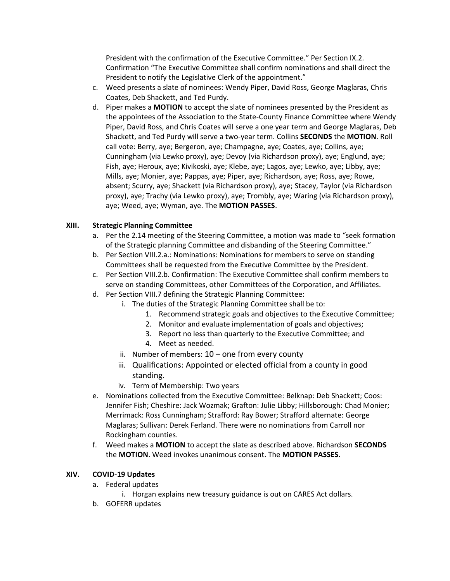President with the confirmation of the Executive Committee." Per Section IX.2. Confirmation "The Executive Committee shall confirm nominations and shall direct the President to notify the Legislative Clerk of the appointment."

- c. Weed presents a slate of nominees: Wendy Piper, David Ross, George Maglaras, Chris Coates, Deb Shackett, and Ted Purdy.
- d. Piper makes a **MOTION** to accept the slate of nominees presented by the President as the appointees of the Association to the State-County Finance Committee where Wendy Piper, David Ross, and Chris Coates will serve a one year term and George Maglaras, Deb Shackett, and Ted Purdy will serve a two-year term. Collins **SECONDS** the **MOTION**. Roll call vote: Berry, aye; Bergeron, aye; Champagne, aye; Coates, aye; Collins, aye; Cunningham (via Lewko proxy), aye; Devoy (via Richardson proxy), aye; Englund, aye; Fish, aye; Heroux, aye; Kivikoski, aye; Klebe, aye; Lagos, aye; Lewko, aye; Libby, aye; Mills, aye; Monier, aye; Pappas, aye; Piper, aye; Richardson, aye; Ross, aye; Rowe, absent; Scurry, aye; Shackett (via Richardson proxy), aye; Stacey, Taylor (via Richardson proxy), aye; Trachy (via Lewko proxy), aye; Trombly, aye; Waring (via Richardson proxy), aye; Weed, aye; Wyman, aye. The **MOTION PASSES**.

# **XIII. Strategic Planning Committee**

- a. Per the 2.14 meeting of the Steering Committee, a motion was made to "seek formation of the Strategic planning Committee and disbanding of the Steering Committee."
- b. Per Section VIII.2.a.: Nominations: Nominations for members to serve on standing Committees shall be requested from the Executive Committee by the President.
- c. Per Section VIII.2.b. Confirmation: The Executive Committee shall confirm members to serve on standing Committees, other Committees of the Corporation, and Affiliates.
- d. Per Section VIII.7 defining the Strategic Planning Committee:
	- i. The duties of the Strategic Planning Committee shall be to:
		- 1. Recommend strategic goals and objectives to the Executive Committee;
		- 2. Monitor and evaluate implementation of goals and objectives;
		- 3. Report no less than quarterly to the Executive Committee; and
		- 4. Meet as needed.
	- ii. Number of members:  $10 -$  one from every county
	- iii. Qualifications: Appointed or elected official from a county in good standing.
	- iv. Term of Membership: Two years
- e. Nominations collected from the Executive Committee: Belknap: Deb Shackett; Coos: Jennifer Fish; Cheshire: Jack Wozmak; Grafton: Julie Libby; Hillsborough: Chad Monier; Merrimack: Ross Cunningham; Strafford: Ray Bower; Strafford alternate: George Maglaras; Sullivan: Derek Ferland. There were no nominations from Carroll nor Rockingham counties.
- f. Weed makes a **MOTION** to accept the slate as described above. Richardson **SECONDS** the **MOTION**. Weed invokes unanimous consent. The **MOTION PASSES**.

### **XIV. COVID-19 Updates**

- a. Federal updates
	- i. Horgan explains new treasury guidance is out on CARES Act dollars.
- b. GOFERR updates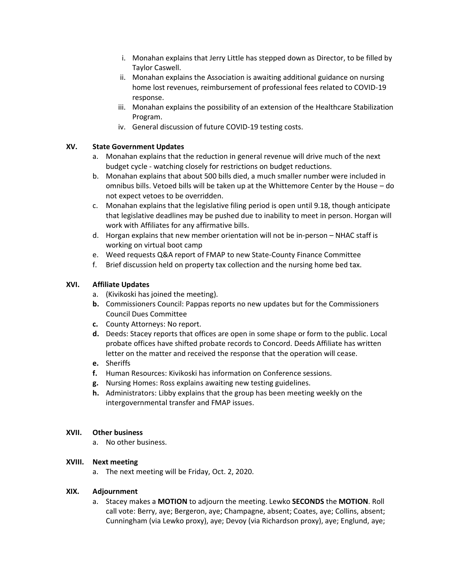- i. Monahan explains that Jerry Little has stepped down as Director, to be filled by Taylor Caswell.
- ii. Monahan explains the Association is awaiting additional guidance on nursing home lost revenues, reimbursement of professional fees related to COVID-19 response.
- iii. Monahan explains the possibility of an extension of the Healthcare Stabilization Program.
- iv. General discussion of future COVID-19 testing costs.

# **XV. State Government Updates**

- a. Monahan explains that the reduction in general revenue will drive much of the next budget cycle - watching closely for restrictions on budget reductions.
- b. Monahan explains that about 500 bills died, a much smaller number were included in omnibus bills. Vetoed bills will be taken up at the Whittemore Center by the House – do not expect vetoes to be overridden.
- c. Monahan explains that the legislative filing period is open until 9.18, though anticipate that legislative deadlines may be pushed due to inability to meet in person. Horgan will work with Affiliates for any affirmative bills.
- d. Horgan explains that new member orientation will not be in-person NHAC staff is working on virtual boot camp
- e. Weed requests Q&A report of FMAP to new State-County Finance Committee
- f. Brief discussion held on property tax collection and the nursing home bed tax.

# **XVI. Affiliate Updates**

- a. (Kivikoski has joined the meeting).
- **b.** Commissioners Council: Pappas reports no new updates but for the Commissioners Council Dues Committee
- **c.** County Attorneys: No report.
- **d.** Deeds: Stacey reports that offices are open in some shape or form to the public. Local probate offices have shifted probate records to Concord. Deeds Affiliate has written letter on the matter and received the response that the operation will cease.
- **e.** Sheriffs
- **f.** Human Resources: Kivikoski has information on Conference sessions.
- **g.** Nursing Homes: Ross explains awaiting new testing guidelines.
- **h.** Administrators: Libby explains that the group has been meeting weekly on the intergovernmental transfer and FMAP issues.

### **XVII. Other business**

a. No other business.

### **XVIII. Next meeting**

a. The next meeting will be Friday, Oct. 2, 2020.

### **XIX. Adjournment**

a. Stacey makes a **MOTION** to adjourn the meeting. Lewko **SECONDS** the **MOTION**. Roll call vote: Berry, aye; Bergeron, aye; Champagne, absent; Coates, aye; Collins, absent; Cunningham (via Lewko proxy), aye; Devoy (via Richardson proxy), aye; Englund, aye;